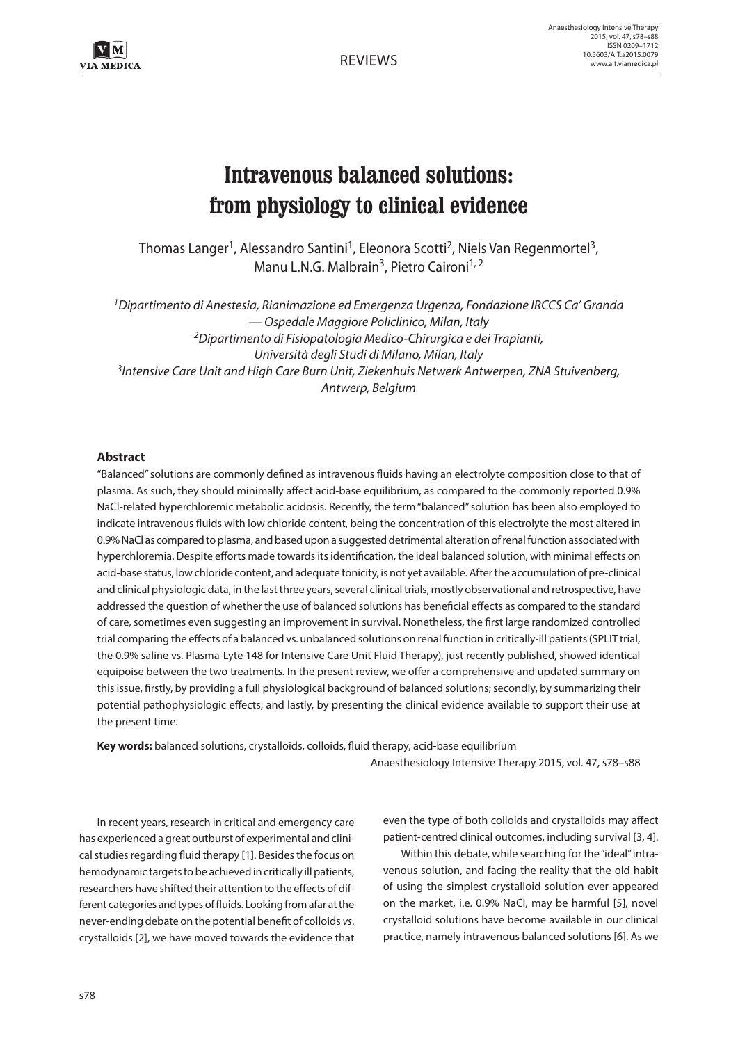# **Intravenous balanced solutions: from physiology to clinical evidence**

Thomas Langer<sup>1</sup>, Alessandro Santini<sup>1</sup>, Eleonora Scotti<sup>2</sup>, Niels Van Regenmortel<sup>3</sup>, Manu L.N.G. Malbrain<sup>3</sup>, Pietro Caironi<sup>1, 2</sup>

*1Dipartimento di Anestesia, Rianimazione ed Emergenza Urgenza, Fondazione IRCCS Ca' Granda — Ospedale Maggiore Policlinico, Milan, Italy 2Dipartimento di Fisiopatologia Medico-Chirurgica e dei Trapianti, Università degli Studi di Milano, Milan, Italy 3Intensive Care Unit and High Care Burn Unit, Ziekenhuis Netwerk Antwerpen, ZNA Stuivenberg, Antwerp, Belgium*

## **Abstract**

"Balanced" solutions are commonly defined as intravenous fluids having an electrolyte composition close to that of plasma. As such, they should minimally affect acid-base equilibrium, as compared to the commonly reported 0.9% NaCl-related hyperchloremic metabolic acidosis. Recently, the term "balanced" solution has been also employed to indicate intravenous fluids with low chloride content, being the concentration of this electrolyte the most altered in 0.9% NaCl as compared to plasma, and based upon a suggested detrimental alteration of renal function associated with hyperchloremia. Despite efforts made towards its identification, the ideal balanced solution, with minimal effects on acid-base status, low chloride content, and adequate tonicity, is not yet available. After the accumulation of pre-clinical and clinical physiologic data, in the last three years, several clinical trials, mostly observational and retrospective, have addressed the question of whether the use of balanced solutions has beneficial effects as compared to the standard of care, sometimes even suggesting an improvement in survival. Nonetheless, the first large randomized controlled trial comparing the effects of a balanced vs. unbalanced solutions on renal function in critically-ill patients (SPLIT trial, the 0.9% saline vs. Plasma-Lyte 148 for Intensive Care Unit Fluid Therapy), just recently published, showed identical equipoise between the two treatments. In the present review, we offer a comprehensive and updated summary on this issue, firstly, by providing a full physiological background of balanced solutions; secondly, by summarizing their potential pathophysiologic effects; and lastly, by presenting the clinical evidence available to support their use at the present time.

**Key words:** balanced solutions, crystalloids, colloids, fluid therapy, acid-base equilibrium

Anaesthesiology Intensive Therapy 2015, vol. 47, s78–s88

In recent years, research in critical and emergency care has experienced a great outburst of experimental and clinical studies regarding fluid therapy [1]. Besides the focus on hemodynamic targets to be achieved in critically ill patients, researchers have shifted their attention to the effects of different categories and types of fluids. Looking from afar at the never-ending debate on the potential benefit of colloids *vs*. crystalloids [2], we have moved towards the evidence that even the type of both colloids and crystalloids may affect patient-centred clinical outcomes, including survival [3, 4].

Within this debate, while searching for the "ideal" intravenous solution, and facing the reality that the old habit of using the simplest crystalloid solution ever appeared on the market, i.e. 0.9% NaCl, may be harmful [5], novel crystalloid solutions have become available in our clinical practice, namely intravenous balanced solutions [6]. As we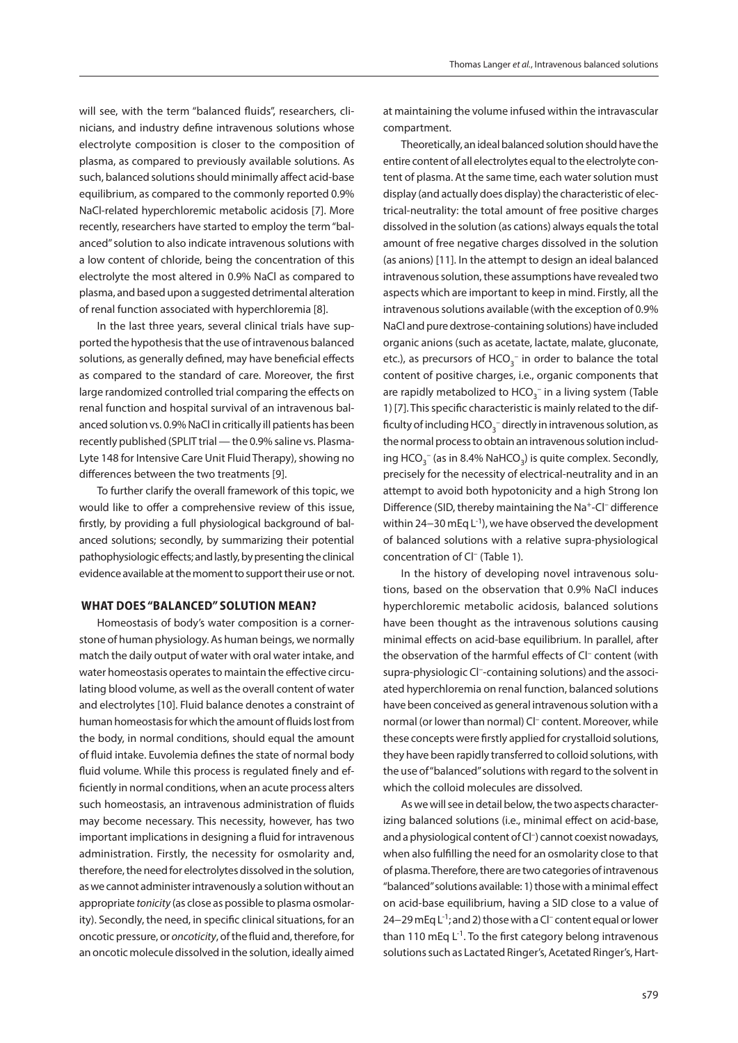will see, with the term "balanced fluids", researchers, clinicians, and industry define intravenous solutions whose electrolyte composition is closer to the composition of plasma, as compared to previously available solutions. As such, balanced solutions should minimally affect acid-base equilibrium, as compared to the commonly reported 0.9% NaCl-related hyperchloremic metabolic acidosis [7]. More recently, researchers have started to employ the term "balanced" solution to also indicate intravenous solutions with a low content of chloride, being the concentration of this electrolyte the most altered in 0.9% NaCl as compared to plasma, and based upon a suggested detrimental alteration of renal function associated with hyperchloremia [8].

In the last three years, several clinical trials have supported the hypothesis that the use of intravenous balanced solutions, as generally defined, may have beneficial effects as compared to the standard of care. Moreover, the first large randomized controlled trial comparing the effects on renal function and hospital survival of an intravenous balanced solution vs. 0.9% NaCl in critically ill patients has been recently published (SPLIT trial — the 0.9% saline vs. Plasma-Lyte 148 for Intensive Care Unit Fluid Therapy), showing no differences between the two treatments [9].

To further clarify the overall framework of this topic, we would like to offer a comprehensive review of this issue, firstly, by providing a full physiological background of balanced solutions; secondly, by summarizing their potential pathophysiologic effects; and lastly, by presenting the clinical evidence available at the moment to support their use or not.

### **WHAT DOES "BALANCED" SOLUTION MEAN?**

Homeostasis of body's water composition is a cornerstone of human physiology. As human beings, we normally match the daily output of water with oral water intake, and water homeostasis operates to maintain the effective circulating blood volume, as well as the overall content of water and electrolytes [10]. Fluid balance denotes a constraint of human homeostasis for which the amount of fluids lost from the body, in normal conditions, should equal the amount of fluid intake. Euvolemia defines the state of normal body fluid volume. While this process is regulated finely and efficiently in normal conditions, when an acute process alters such homeostasis, an intravenous administration of fluids may become necessary. This necessity, however, has two important implications in designing a fluid for intravenous administration. Firstly, the necessity for osmolarity and, therefore, the need for electrolytes dissolved in the solution, as we cannot administer intravenously a solution without an appropriate *tonicity* (as close as possible to plasma osmolarity). Secondly, the need, in specific clinical situations, for an oncotic pressure, or *oncoticity*, of the fluid and, therefore, for an oncotic molecule dissolved in the solution, ideally aimed

at maintaining the volume infused within the intravascular compartment.

Theoretically, an ideal balanced solution should have the entire content of all electrolytes equal to the electrolyte content of plasma. At the same time, each water solution must display (and actually does display) the characteristic of electrical-neutrality: the total amount of free positive charges dissolved in the solution (as cations) always equals the total amount of free negative charges dissolved in the solution (as anions) [11]. In the attempt to design an ideal balanced intravenous solution, these assumptions have revealed two aspects which are important to keep in mind. Firstly, all the intravenous solutions available (with the exception of 0.9% NaCl and pure dextrose-containing solutions) have included organic anions (such as acetate, lactate, malate, gluconate, etc.), as precursors of  $HCO_3^-$  in order to balance the total content of positive charges, i.e., organic components that are rapidly metabolized to  $\mathsf{HCO}_3^-$  in a living system (Table 1) [7]. This specific characteristic is mainly related to the difficulty of including  $HCO_3^-$  directly in intravenous solution, as the normal process to obtain an intravenous solution including HCO<sub>3</sub><sup>-</sup> (as in 8.4% NaHCO<sub>3</sub>) is quite complex. Secondly, precisely for the necessity of electrical-neutrality and in an attempt to avoid both hypotonicity and a high Strong Ion Difference (SID, thereby maintaining the Na+-Cl– difference within 24−30 mEq L<sup>-1</sup>), we have observed the development of balanced solutions with a relative supra-physiological concentration of Cl– (Table 1).

In the history of developing novel intravenous solutions, based on the observation that 0.9% NaCl induces hyperchloremic metabolic acidosis, balanced solutions have been thought as the intravenous solutions causing minimal effects on acid-base equilibrium. In parallel, after the observation of the harmful effects of Cl– content (with supra-physiologic Cl–-containing solutions) and the associated hyperchloremia on renal function, balanced solutions have been conceived as general intravenous solution with a normal (or lower than normal) Cl<sup>-</sup> content. Moreover, while these concepts were firstly applied for crystalloid solutions, they have been rapidly transferred to colloid solutions, with the use of "balanced" solutions with regard to the solvent in which the colloid molecules are dissolved.

As we will see in detail below, the two aspects characterizing balanced solutions (i.e., minimal effect on acid-base, and a physiological content of Cl<sup>-</sup>) cannot coexist nowadays, when also fulfilling the need for an osmolarity close to that of plasma. Therefore, there are two categories of intravenous "balanced" solutions available: 1) those with a minimal effect on acid-base equilibrium, having a SID close to a value of 24−29 mEq L<sup>-1</sup>; and 2) those with a Cl<sup>-</sup> content equal or lower than 110 mEq  $L^{-1}$ . To the first category belong intravenous solutions such as Lactated Ringer's, Acetated Ringer's, Hart-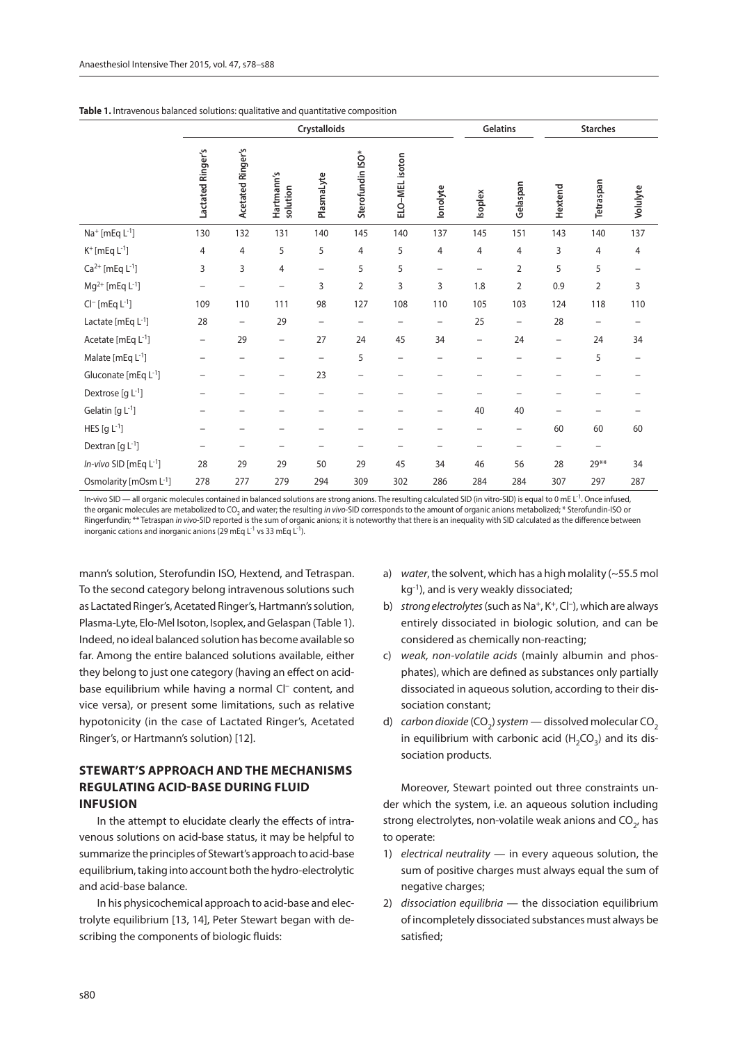|                                        | Crystalloids      |                          |                          |                          |                  |                          |                          | Gelatins                 |          |                          | <b>Starches</b>          |                          |
|----------------------------------------|-------------------|--------------------------|--------------------------|--------------------------|------------------|--------------------------|--------------------------|--------------------------|----------|--------------------------|--------------------------|--------------------------|
|                                        | Lactated Ringer's | <b>Acetated Ringer's</b> | Hartmann's<br>solution   | PlasmaLyte               | Sterofundin ISO* | ELO-MEL isoton           | lonolyte                 | Isoplex                  | Gelaspan | Hextend                  | Tetraspan                | Volulyte                 |
| Na <sup>+</sup> [mEq L <sup>-1</sup> ] | 130               | 132                      | 131                      | 140                      | 145              | 140                      | 137                      | 145                      | 151      | 143                      | 140                      | 137                      |
| $K^+$ [mEq $L^{-1}$ ]                  | $\overline{4}$    | 4                        | 5                        | 5                        | 4                | 5                        | $\overline{4}$           | 4                        | 4        | 3                        | 4                        | $\overline{4}$           |
| $Ca^{2+}$ [mEq $L^{-1}$ ]              | 3                 | 3                        | 4                        | $\overline{\phantom{0}}$ | 5                | 5                        | $\overline{\phantom{0}}$ | -                        | 2        | 5                        | 5                        | $\overline{\phantom{0}}$ |
| $Mg^{2+}$ [mEq L <sup>-1</sup> ]       |                   | —                        | -                        | 3                        | $\overline{2}$   | 3                        | 3                        | $1.8\,$                  | 2        | 0.9                      | $\overline{2}$           | 3                        |
| $Cl^-$ [mEq $L^{-1}$ ]                 | 109               | 110                      | 111                      | 98                       | 127              | 108                      | 110                      | 105                      | 103      | 124                      | 118                      | 110                      |
| Lactate [ $mEq L^{-1}$ ]               | 28                | -                        | 29                       | $\overline{\phantom{0}}$ | -                | $\qquad \qquad -$        | -                        | 25                       | -        | 28                       | $\overline{\phantom{0}}$ |                          |
| Acetate [mEq L <sup>-1</sup> ]         | $\qquad \qquad -$ | 29                       | $\overline{\phantom{0}}$ | 27                       | 24               | 45                       | 34                       | $\qquad \qquad -$        | 24       | $\overline{\phantom{m}}$ | 24                       | 34                       |
| Malate [mEq L-1]                       |                   |                          |                          | $\overline{\phantom{0}}$ | 5                | $\overline{\phantom{0}}$ |                          |                          |          | $\overline{\phantom{0}}$ | 5                        | $\overline{\phantom{0}}$ |
| Gluconate [mEq L <sup>-1</sup> ]       |                   |                          | -                        | 23                       | $\overline{a}$   |                          |                          |                          |          |                          |                          |                          |
| Dextrose $[g L^{-1}]$                  |                   |                          |                          | $\overline{\phantom{0}}$ |                  |                          | -                        |                          |          |                          | -                        |                          |
| Gelatin [g $L^{-1}$ ]                  |                   |                          |                          | $\overline{\phantom{0}}$ | -                |                          | -                        | 40                       | 40       |                          | $\overline{\phantom{0}}$ |                          |
| HES $[g L^{-1}]$                       |                   | -                        | -                        | $\qquad \qquad -$        | -                | -                        | $\qquad \qquad -$        | $\overline{\phantom{m}}$ | -        | 60                       | 60                       | 60                       |
| Dextran [g $L^{-1}$ ]                  |                   | -                        |                          | $\overline{\phantom{0}}$ | -                | -                        | -                        |                          | —        | —                        | $\qquad \qquad$          |                          |
| In-vivo SID [mEq L-1]                  | 28                | 29                       | 29                       | 50                       | 29               | 45                       | 34                       | 46                       | 56       | 28                       | 29**                     | 34                       |
| Osmolarity [mOsm L <sup>-1</sup> ]     | 278               | 277                      | 279                      | 294                      | 309              | 302                      | 286                      | 284                      | 284      | 307                      | 297                      | 287                      |

In-vivo SID — all organic molecules contained in balanced solutions are strong anions. The resulting calculated SID (in vitro-SID) is equal to 0 mE L<sup>-1</sup>. Once infused, the organic molecules are metabolized to CO<sub>2</sub> and water; the resulting in vivo-SID corresponds to the amount of organic anions metabolized; \* Sterofundin-ISO or Ringerfundin; \*\* Tetraspan *in vivo*-SID reported is the sum of organic anions; it is noteworthy that there is an inequality with SID calculated as the difference between inorganic cations and inorganic anions (29 mEq  $L^{-1}$  vs 33 mEq  $L^{-1}$ ).

mann's solution, Sterofundin ISO, Hextend, and Tetraspan. To the second category belong intravenous solutions such as Lactated Ringer's, Acetated Ringer's, Hartmann's solution, Plasma-Lyte, Elo-Mel Isoton, Isoplex, and Gelaspan (Table 1). Indeed, no ideal balanced solution has become available so far. Among the entire balanced solutions available, either they belong to just one category (having an effect on acidbase equilibrium while having a normal Cl<sup>-</sup> content, and vice versa), or present some limitations, such as relative hypotonicity (in the case of Lactated Ringer's, Acetated Ringer's, or Hartmann's solution) [12].

## **STEWART'S APPROACH AND THE MECHANISMS REGULATING ACID-BASE DURING FLUID INFUSION**

In the attempt to elucidate clearly the effects of intravenous solutions on acid-base status, it may be helpful to summarize the principles of Stewart's approach to acid-base equilibrium, taking into account both the hydro-electrolytic and acid-base balance.

In his physicochemical approach to acid-base and electrolyte equilibrium [13, 14], Peter Stewart began with describing the components of biologic fluids:

- a) *water*, the solvent, which has a high molality (~55.5 mol kg<sup>-1</sup>), and is very weakly dissociated;
- b) *strong electrolytes* (such as Na<sup>+</sup>, K<sup>+</sup>, Cl<sup>-</sup>), which are always entirely dissociated in biologic solution, and can be considered as chemically non-reacting;
- c) *weak, non-volatile acids* (mainly albumin and phosphates), which are defined as substances only partially dissociated in aqueous solution, according to their dissociation constant;
- d) carbon dioxide (CO<sub>2</sub>) system dissolved molecular CO<sub>2</sub> in equilibrium with carbonic acid  $(H_2CO_3)$  and its dissociation products.

Moreover, Stewart pointed out three constraints under which the system, i.e. an aqueous solution including strong electrolytes, non-volatile weak anions and  $CO<sub>2</sub>$ , has to operate:

- 1) *electrical neutrality* in every aqueous solution, the sum of positive charges must always equal the sum of negative charges;
- 2) *dissociation equilibria* the dissociation equilibrium of incompletely dissociated substances must always be satisfied;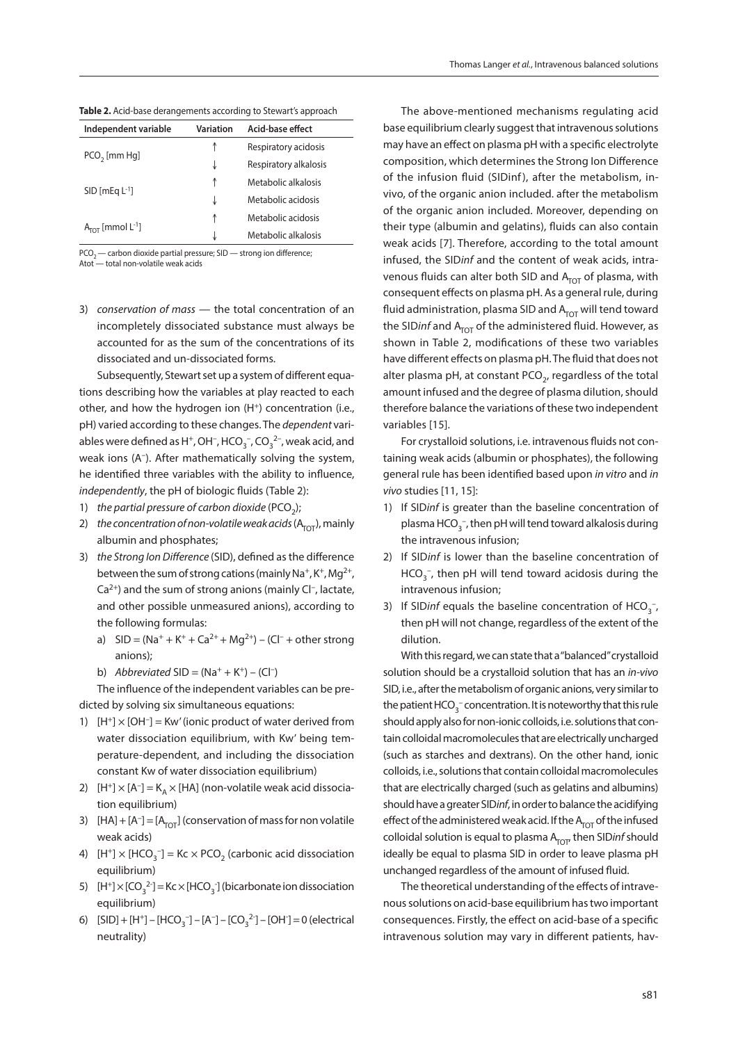| Respiratory acidosis<br>↑<br>$PCO2$ [mm Hg]<br>Respiratory alkalosis<br>↓<br>Metabolic alkalosis<br>↑<br>$SID$ [mEq $L^{-1}$ ]<br>Metabolic acidosis<br>↓<br>Metabolic acidosis<br>↑<br>$ATOT$ [mmol L <sup>-1</sup> ] | Independent variable | Variation | Acid-base effect    |
|------------------------------------------------------------------------------------------------------------------------------------------------------------------------------------------------------------------------|----------------------|-----------|---------------------|
|                                                                                                                                                                                                                        |                      |           |                     |
|                                                                                                                                                                                                                        |                      |           |                     |
|                                                                                                                                                                                                                        |                      |           |                     |
|                                                                                                                                                                                                                        |                      |           |                     |
|                                                                                                                                                                                                                        |                      |           |                     |
|                                                                                                                                                                                                                        |                      | J         | Metabolic alkalosis |

**Table 2.** Acid-base derangements according to Stewart's approach

 $PCO<sub>2</sub>$  — carbon dioxide partial pressure; SID — strong ion difference; Atot — total non-volatile weak acids

3) *conservation of mass* — the total concentration of an incompletely dissociated substance must always be

accounted for as the sum of the concentrations of its dissociated and un-dissociated forms.

Subsequently, Stewart set up a system of different equations describing how the variables at play reacted to each other, and how the hydrogen ion (H<sup>+</sup>) concentration (i.e., pH) varied according to these changes. The *dependent* variables were defined as H<sup>+</sup>, OH<sup>-</sup>, HCO<sub>3</sub><sup>-</sup>, CO<sub>3</sub><sup>2-</sup>, weak acid, and weak ions (A–). After mathematically solving the system, he identified three variables with the ability to influence, *independently*, the pH of biologic fluids (Table 2):

- 1) *the partial pressure of carbon dioxide* (PCO<sub>2</sub>);
- 2) *the concentration of non-volatile weak acids*  $(A_{\text{tot}})$ , mainly albumin and phosphates;
- 3) *the Strong Ion Difference* (SID), defined as the difference between the sum of strong cations (mainly Na<sup>+</sup>, K<sup>+</sup>, Mg<sup>2+</sup>,  $Ca<sup>2+</sup>$ ) and the sum of strong anions (mainly Cl<sup>-</sup>, lactate, and other possible unmeasured anions), according to the following formulas:
	- a)  $SID = (Na^+ + K^+ + Ca^{2+} + Mg^{2+}) (Cl^- + other strong$ anions);
	- b) *Abbreviated* SID =  $(Na^{+} + K^{+}) (Cl^{-})$

The influence of the independent variables can be predicted by solving six simultaneous equations:

- 1)  $[H^+] \times [OH^-] = Kw'$  (ionic product of water derived from water dissociation equilibrium, with Kw' being temperature-dependent, and including the dissociation constant Kw of water dissociation equilibrium)
- 2)  $[H^+] \times [A^-] = K_A \times [HA]$  (non-volatile weak acid dissociation equilibrium)
- 3)  $[HA] + [A^-] = [A_{TOT}]$  (conservation of mass for non volatile weak acids)
- 4)  $[H^+] \times [HCO_3^-] = Kc \times PCO_2$  (carbonic acid dissociation equilibrium)
- 5)  $[H^+] \times [CO_3^2] = Kc \times [HCO_3^-]$  (bicarbonate ion dissociation equilibrium)
- 6)  $[SID] + [H^+] [HCO_3^-] [A^-] [CO_3^2^-] [OH^-] = 0$  (electrical neutrality)

The above-mentioned mechanisms regulating acid base equilibrium clearly suggest that intravenous solutions may have an effect on plasma pH with a specific electrolyte composition, which determines the Strong Ion Difference of the infusion fluid (SIDinf), after the metabolism, invivo, of the organic anion included. after the metabolism of the organic anion included. Moreover, depending on their type (albumin and gelatins), fluids can also contain weak acids [7]. Therefore, according to the total amount infused, the SID*inf* and the content of weak acids, intravenous fluids can alter both SID and  $A<sub>TOT</sub>$  of plasma, with consequent effects on plasma pH. As a general rule, during fluid administration, plasma SID and  $A<sub>TOT</sub>$  will tend toward the SIDinf and A<sub>TOT</sub> of the administered fluid. However, as shown in Table 2, modifications of these two variables have different effects on plasma pH. The fluid that does not alter plasma pH, at constant PCO<sub>2</sub>, regardless of the total amount infused and the degree of plasma dilution, should therefore balance the variations of these two independent variables [15].

For crystalloid solutions, i.e. intravenous fluids not containing weak acids (albumin or phosphates), the following general rule has been identified based upon *in vitro* and *in vivo* studies [11, 15]:

- 1) If SID*inf* is greater than the baseline concentration of plasma  $\text{HCO}_3^-$ , then pH will tend toward alkalosis during the intravenous infusion;
- 2) If SID*inf* is lower than the baseline concentration of  $HCO_3^-$ , then pH will tend toward acidosis during the intravenous infusion;
- 3) If SIDinf equals the baseline concentration of  $HCO_{3}^{-}$ , then pH will not change, regardless of the extent of the dilution.

With this regard, we can state that a "balanced" crystalloid solution should be a crystalloid solution that has an *in-vivo*  SID, i.e., after the metabolism of organic anions, very similar to the patient  $\mathsf{HCO}_3^-$  concentration. It is noteworthy that this rule should apply also for non-ionic colloids, i.e. solutions that contain colloidal macromolecules that are electrically uncharged (such as starches and dextrans). On the other hand, ionic colloids, i.e., solutions that contain colloidal macromolecules that are electrically charged (such as gelatins and albumins) should have a greater SID*inf*, in order to balance the acidifying effect of the administered weak acid. If the  $A_{\text{TOT}}$  of the infused colloidal solution is equal to plasma A<sub>TOT</sub>, then SIDinf should ideally be equal to plasma SID in order to leave plasma pH unchanged regardless of the amount of infused fluid.

The theoretical understanding of the effects of intravenous solutions on acid-base equilibrium has two important consequences. Firstly, the effect on acid-base of a specific intravenous solution may vary in different patients, hav-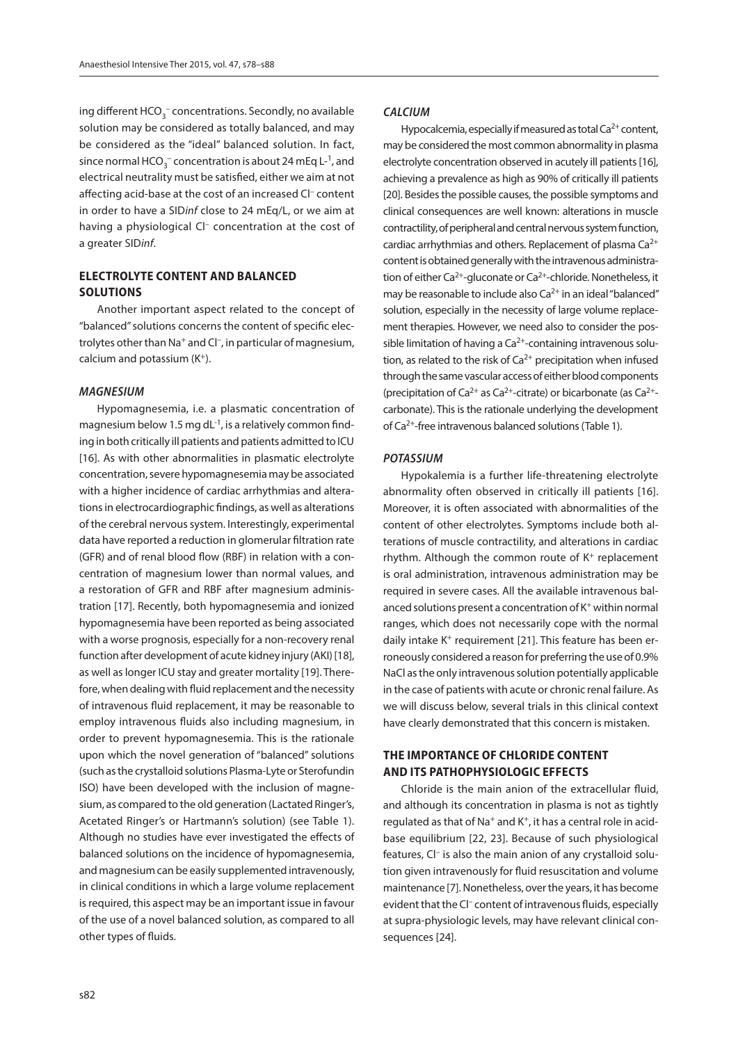ing different HCO $_3^-$  concentrations. Secondly, no available solution may be considered as totally balanced, and may be considered as the "ideal" balanced solution. In fact, since normal  $\mathsf{HCO_3^-}$  concentration is about 24 mEq L-<sup>1</sup>, and electrical neutrality must be satisfied, either we aim at not affecting acid-base at the cost of an increased Cl– content in order to have a SID*inf* close to 24 mEq/L, or we aim at having a physiological Cl<sup>-</sup> concentration at the cost of a greater SID*inf*.

## **ELECTROLYTE CONTENT AND BALANCED SOLUTIONS**

Another important aspect related to the concept of "balanced" solutions concerns the content of specific electrolytes other than Na<sup>+</sup> and Cl<sup>-</sup>, in particular of magnesium, calcium and potassium  $(K<sup>+</sup>)$ .

#### *MAGNESIUM*

Hypomagnesemia, i.e. a plasmatic concentration of magnesium below 1.5 mg dL $^{-1}$ , is a relatively common finding in both critically ill patients and patients admitted to ICU [16]. As with other abnormalities in plasmatic electrolyte concentration, severe hypomagnesemia may be associated with a higher incidence of cardiac arrhythmias and alterations in electrocardiographic findings, as well as alterations of the cerebral nervous system. Interestingly, experimental data have reported a reduction in glomerular filtration rate (GFR) and of renal blood flow (RBF) in relation with a concentration of magnesium lower than normal values, and a restoration of GFR and RBF after magnesium administration [17]. Recently, both hypomagnesemia and ionized hypomagnesemia have been reported as being associated with a worse prognosis, especially for a non-recovery renal function after development of acute kidney injury (AKI) [18], as well as longer ICU stay and greater mortality [19]. Therefore, when dealing with fluid replacement and the necessity of intravenous fluid replacement, it may be reasonable to employ intravenous fluids also including magnesium, in order to prevent hypomagnesemia. This is the rationale upon which the novel generation of "balanced" solutions (such as the crystalloid solutions Plasma-Lyte or Sterofundin ISO) have been developed with the inclusion of magnesium, as compared to the old generation (Lactated Ringer's, Acetated Ringer's or Hartmann's solution) (see Table 1). Although no studies have ever investigated the effects of balanced solutions on the incidence of hypomagnesemia, and magnesium can be easily supplemented intravenously, in clinical conditions in which a large volume replacement is required, this aspect may be an important issue in favour of the use of a novel balanced solution, as compared to all other types of fluids.

#### *CALCIUM*

Hypocalcemia, especially if measured as total  $Ca^{2+}$  content, may be considered the most common abnormality in plasma electrolyte concentration observed in acutely ill patients [16], achieving a prevalence as high as 90% of critically ill patients [20]. Besides the possible causes, the possible symptoms and clinical consequences are well known: alterations in muscle contractility, of peripheral and central nervous system function, cardiac arrhythmias and others. Replacement of plasma  $Ca^{2+}$ content is obtained generally with the intravenous administration of either Ca<sup>2+</sup>-gluconate or Ca<sup>2+</sup>-chloride. Nonetheless, it may be reasonable to include also  $Ca<sup>2+</sup>$  in an ideal "balanced" solution, especially in the necessity of large volume replacement therapies. However, we need also to consider the possible limitation of having a  $Ca<sup>2+</sup>$ -containing intravenous solution, as related to the risk of  $Ca^{2+}$  precipitation when infused through the same vascular access of either blood components (precipitation of Ca<sup>2+</sup> as Ca<sup>2+</sup>-citrate) or bicarbonate (as Ca<sup>2+</sup>carbonate). This is the rationale underlying the development of Ca2+-free intravenous balanced solutions (Table 1).

#### *POTASSIUM*

Hypokalemia is a further life-threatening electrolyte abnormality often observed in critically ill patients [16]. Moreover, it is often associated with abnormalities of the content of other electrolytes. Symptoms include both alterations of muscle contractility, and alterations in cardiac rhythm. Although the common route of  $K^+$  replacement is oral administration, intravenous administration may be required in severe cases. All the available intravenous balanced solutions present a concentration of K+ within normal ranges, which does not necessarily cope with the normal daily intake K<sup>+</sup> requirement [21]. This feature has been erroneously considered a reason for preferring the use of 0.9% NaCl as the only intravenous solution potentially applicable in the case of patients with acute or chronic renal failure. As we will discuss below, several trials in this clinical context have clearly demonstrated that this concern is mistaken.

## **THE IMPORTANCE OF CHLORIDE CONTENT AND ITS PATHOPHYSIOLOGIC EFFECTS**

Chloride is the main anion of the extracellular fluid, and although its concentration in plasma is not as tightly regulated as that of Na<sup>+</sup> and K<sup>+</sup>, it has a central role in acidbase equilibrium [22, 23]. Because of such physiological features, Cl– is also the main anion of any crystalloid solution given intravenously for fluid resuscitation and volume maintenance [7]. Nonetheless, over the years, it has become evident that the Cl– content of intravenous fluids, especially at supra-physiologic levels, may have relevant clinical consequences [24].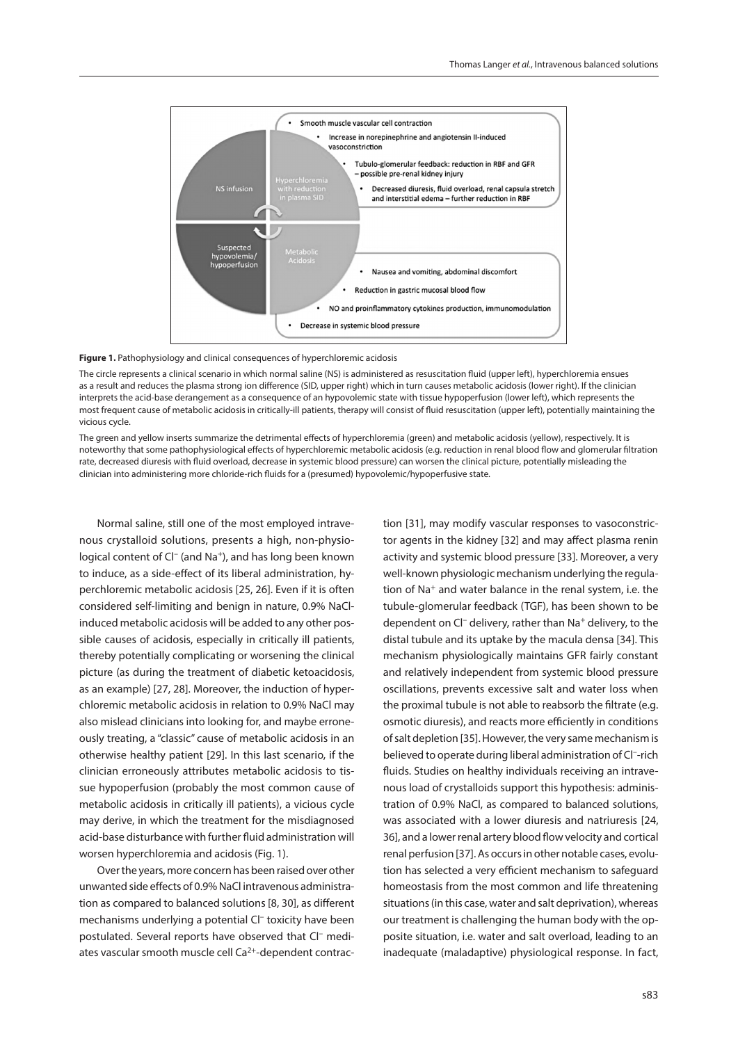

Figure 1. Pathophysiology and clinical consequences of hyperchloremic acidosis

The circle represents a clinical scenario in which normal saline (NS) is administered as resuscitation fluid (upper left), hyperchloremia ensues as a result and reduces the plasma strong ion difference (SID, upper right) which in turn causes metabolic acidosis (lower right). If the clinician interprets the acid-base derangement as a consequence of an hypovolemic state with tissue hypoperfusion (lower left), which represents the most frequent cause of metabolic acidosis in critically-ill patients, therapy will consist of fluid resuscitation (upper left), potentially maintaining the vicious cycle.

The green and yellow inserts summarize the detrimental effects of hyperchloremia (green) and metabolic acidosis (yellow), respectively. It is noteworthy that some pathophysiological effects of hyperchloremic metabolic acidosis (e.g. reduction in renal blood flow and glomerular filtration rate, decreased diuresis with fluid overload, decrease in systemic blood pressure) can worsen the clinical picture, potentially misleading the clinician into administering more chloride-rich fluids for a (presumed) hypovolemic/hypoperfusive state.

Normal saline, still one of the most employed intravenous crystalloid solutions, presents a high, non-physiological content of Cl<sup>-</sup> (and Na<sup>+</sup>), and has long been known to induce, as a side-effect of its liberal administration, hyperchloremic metabolic acidosis [25, 26]. Even if it is often considered self-limiting and benign in nature, 0.9% NaClinduced metabolic acidosis will be added to any other possible causes of acidosis, especially in critically ill patients, thereby potentially complicating or worsening the clinical picture (as during the treatment of diabetic ketoacidosis, as an example) [27, 28]. Moreover, the induction of hyperchloremic metabolic acidosis in relation to 0.9% NaCl may also mislead clinicians into looking for, and maybe erroneously treating, a "classic" cause of metabolic acidosis in an otherwise healthy patient [29]. In this last scenario, if the clinician erroneously attributes metabolic acidosis to tissue hypoperfusion (probably the most common cause of metabolic acidosis in critically ill patients), a vicious cycle may derive, in which the treatment for the misdiagnosed acid-base disturbance with further fluid administration will worsen hyperchloremia and acidosis (Fig. 1).

Over the years, more concern has been raised over other unwanted side effects of 0.9% NaCl intravenous administration as compared to balanced solutions [8, 30], as different mechanisms underlying a potential Cl<sup>-</sup> toxicity have been postulated. Several reports have observed that Cl– mediates vascular smooth muscle cell Ca<sup>2+</sup>-dependent contraction [31], may modify vascular responses to vasoconstrictor agents in the kidney [32] and may affect plasma renin activity and systemic blood pressure [33]. Moreover, a very well-known physiologic mechanism underlying the regulation of Na+ and water balance in the renal system, i.e. the tubule-glomerular feedback (TGF), has been shown to be dependent on Cl<sup>-</sup> delivery, rather than Na<sup>+</sup> delivery, to the distal tubule and its uptake by the macula densa [34]. This mechanism physiologically maintains GFR fairly constant and relatively independent from systemic blood pressure oscillations, prevents excessive salt and water loss when the proximal tubule is not able to reabsorb the filtrate (e.g. osmotic diuresis), and reacts more efficiently in conditions of salt depletion [35]. However, the very same mechanism is believed to operate during liberal administration of Cl–-rich fluids. Studies on healthy individuals receiving an intravenous load of crystalloids support this hypothesis: administration of 0.9% NaCl, as compared to balanced solutions, was associated with a lower diuresis and natriuresis [24, 36], and a lower renal artery blood flow velocity and cortical renal perfusion [37]. As occurs in other notable cases, evolution has selected a very efficient mechanism to safeguard homeostasis from the most common and life threatening situations (in this case, water and salt deprivation), whereas our treatment is challenging the human body with the opposite situation, i.e. water and salt overload, leading to an inadequate (maladaptive) physiological response. In fact,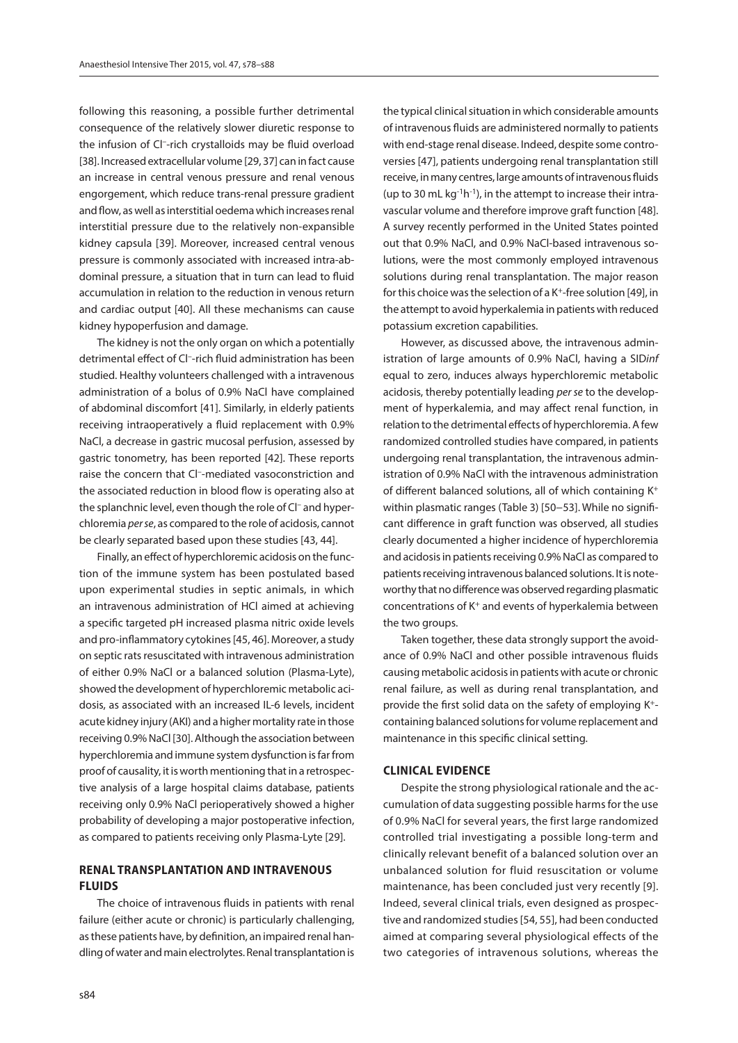following this reasoning, a possible further detrimental consequence of the relatively slower diuretic response to the infusion of Cl–-rich crystalloids may be fluid overload [38]. Increased extracellular volume [29, 37] can in fact cause an increase in central venous pressure and renal venous engorgement, which reduce trans-renal pressure gradient and flow, as well as interstitial oedema which increases renal interstitial pressure due to the relatively non-expansible kidney capsula [39]. Moreover, increased central venous pressure is commonly associated with increased intra-abdominal pressure, a situation that in turn can lead to fluid accumulation in relation to the reduction in venous return and cardiac output [40]. All these mechanisms can cause kidney hypoperfusion and damage.

The kidney is not the only organ on which a potentially detrimental effect of Cl–-rich fluid administration has been studied. Healthy volunteers challenged with a intravenous administration of a bolus of 0.9% NaCl have complained of abdominal discomfort [41]. Similarly, in elderly patients receiving intraoperatively a fluid replacement with 0.9% NaCl, a decrease in gastric mucosal perfusion, assessed by gastric tonometry, has been reported [42]. These reports raise the concern that Cl–-mediated vasoconstriction and the associated reduction in blood flow is operating also at the splanchnic level, even though the role of Cl– and hyperchloremia *per se*, as compared to the role of acidosis, cannot be clearly separated based upon these studies [43, 44].

Finally, an effect of hyperchloremic acidosis on the function of the immune system has been postulated based upon experimental studies in septic animals, in which an intravenous administration of HCl aimed at achieving a specific targeted pH increased plasma nitric oxide levels and pro-inflammatory cytokines [45, 46]. Moreover, a study on septic rats resuscitated with intravenous administration of either 0.9% NaCl or a balanced solution (Plasma-Lyte), showed the development of hyperchloremic metabolic acidosis, as associated with an increased IL-6 levels, incident acute kidney injury (AKI) and a higher mortality rate in those receiving 0.9% NaCl [30]. Although the association between hyperchloremia and immune system dysfunction is far from proof of causality, it is worth mentioning that in a retrospective analysis of a large hospital claims database, patients receiving only 0.9% NaCl perioperatively showed a higher probability of developing a major postoperative infection, as compared to patients receiving only Plasma-Lyte [29].

## **RENAL TRANSPLANTATION AND INTRAVENOUS FLUIDS**

The choice of intravenous fluids in patients with renal failure (either acute or chronic) is particularly challenging, as these patients have, by definition, an impaired renal handling of water and main electrolytes. Renal transplantation is the typical clinical situation in which considerable amounts of intravenous fluids are administered normally to patients with end-stage renal disease. Indeed, despite some controversies [47], patients undergoing renal transplantation still receive, in many centres, large amounts of intravenous fluids (up to 30 mL kg $^{-1}$ h $^{-1}$ ), in the attempt to increase their intravascular volume and therefore improve graft function [48]. A survey recently performed in the United States pointed out that 0.9% NaCl, and 0.9% NaCl-based intravenous solutions, were the most commonly employed intravenous solutions during renal transplantation. The major reason for this choice was the selection of a K<sup>+</sup>-free solution [49], in the attempt to avoid hyperkalemia in patients with reduced potassium excretion capabilities.

However, as discussed above, the intravenous administration of large amounts of 0.9% NaCl, having a SID*inf* equal to zero, induces always hyperchloremic metabolic acidosis, thereby potentially leading *per se* to the development of hyperkalemia, and may affect renal function, in relation to the detrimental effects of hyperchloremia. A few randomized controlled studies have compared, in patients undergoing renal transplantation, the intravenous administration of 0.9% NaCl with the intravenous administration of different balanced solutions, all of which containing K+ within plasmatic ranges (Table 3) [50−53]. While no significant difference in graft function was observed, all studies clearly documented a higher incidence of hyperchloremia and acidosis in patients receiving 0.9% NaCl as compared to patients receiving intravenous balanced solutions. It is noteworthy that no difference was observed regarding plasmatic concentrations of K+ and events of hyperkalemia between the two groups.

Taken together, these data strongly support the avoidance of 0.9% NaCl and other possible intravenous fluids causing metabolic acidosis in patients with acute or chronic renal failure, as well as during renal transplantation, and provide the first solid data on the safety of employing K+ containing balanced solutions for volume replacement and maintenance in this specific clinical setting.

#### **CLINICAL EVIDENCE**

Despite the strong physiological rationale and the accumulation of data suggesting possible harms for the use of 0.9% NaCl for several years, the first large randomized controlled trial investigating a possible long-term and clinically relevant benefit of a balanced solution over an unbalanced solution for fluid resuscitation or volume maintenance, has been concluded just very recently [9]. Indeed, several clinical trials, even designed as prospective and randomized studies [54, 55], had been conducted aimed at comparing several physiological effects of the two categories of intravenous solutions, whereas the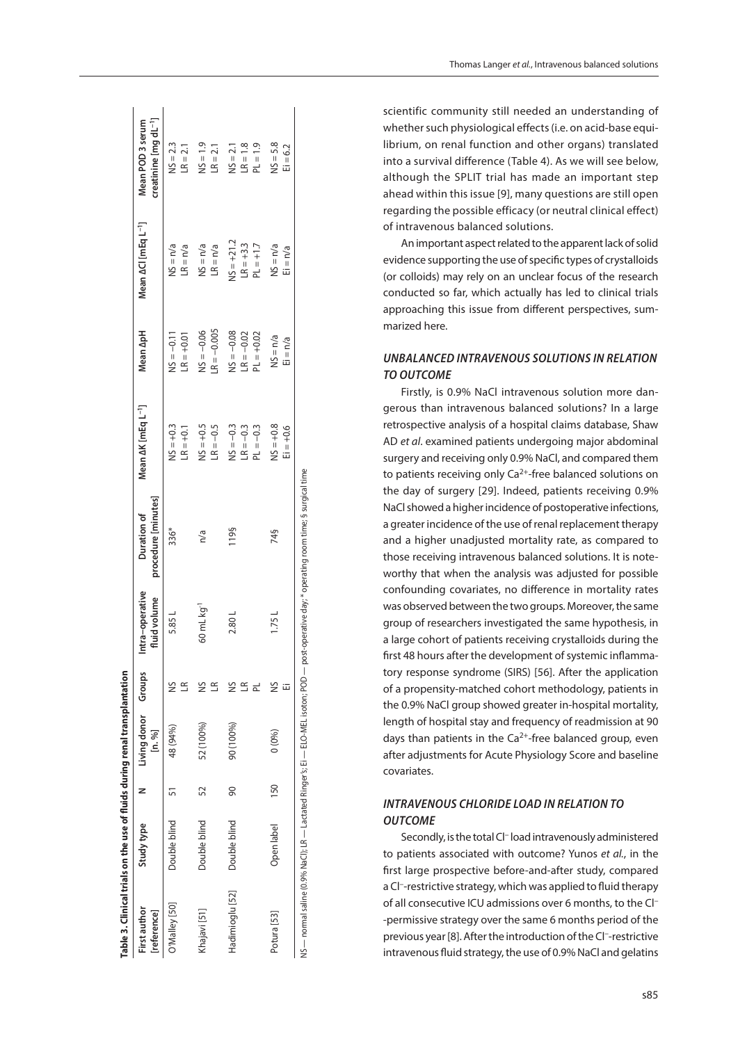| Table 3. Clinical trials on the use of fluids during renal transplantation |              |     |                                     |        |                                 |                                                            |                                           |                                              |                                            |                                                       |
|----------------------------------------------------------------------------|--------------|-----|-------------------------------------|--------|---------------------------------|------------------------------------------------------------|-------------------------------------------|----------------------------------------------|--------------------------------------------|-------------------------------------------------------|
| First author<br>[reference]                                                | Study type   |     | Living donor<br>Groups<br>$[n, \%]$ |        | Intra-operative<br>fluid volume | procedure [minutes]<br>Duration of                         | Mean AK [mEq L <sup>-1</sup> ]            | Mean ApH                                     | Mean ACI [mEq L <sup>-1</sup> ]            | creatinine [mg dL <sup>-1</sup> ]<br>Mean POD 3 serum |
| D'Malley [50]                                                              | Double blind |     | 48 (94%)                            | E      | 5.85 L                          | 336*                                                       | $NS = +0.3$<br>$LR = +0.1$                | $NS = -0.11$<br>$LR = +0.01$                 | $NS = n/a$<br>$LR = n/a$                   | $NS = 2.3$<br>$LR = 2.1$                              |
| Khajavi [51]                                                               | Double blind | 52  | 52 (100%)                           | š<br>q | 60 mL kg <sup>-1</sup>          | n/a                                                        | $NS = +0.5$<br>$LR = -0.5$                | $-R = -0.005$<br>$NS = -0.06$                | $NS = n/a$<br>$LR = n/a$                   | $N = 1.9$<br>$LR = 2.1$                               |
| Hadimioglu [52]                                                            | Double blind | 8   | 90 (100%)                           | ≌<br>≌ | 2.80L                           | 119§                                                       | $NS = -0.3$<br>$LR = -0.3$<br>$PL = -0.3$ | $NS = -0.08$<br>$LR = -0.02$<br>$PL = +0.02$ | $NS = +21.2$<br>$LR = +3.3$<br>$PL = +1.7$ | $LR = 1.8$<br>$PL = 1.9$<br>$NS = 2.1$                |
| Potura [53]                                                                | Open label   | 150 | 0(0%                                | ž      | 1.75L                           | 74§                                                        | $NS = +0.8$<br>$E_1 = +0.6$               | $NS = n/a$<br>$E = n/a$                      | $NS = n/a$<br>$E = n/a$                    | $NS = 5.8$<br>$E = 6.2$                               |
| NS — normal saline (0.9% Nactated Ringer's; Ei — ELO-MEL isoton; POD —     |              |     |                                     |        |                                 | post-operative day; * operating room time; § surgical time |                                           |                                              |                                            |                                                       |

scientific community still needed an understanding of whether such physiological effects (i.e. on acid-base equi librium, on renal function and other organs) translated into a survival difference (Table 4). As we will see below, although the SPLIT trial has made an important step ahead within this issue [9], many questions are still open regarding the possible efficacy (or neutral clinical effect) of intravenous balanced solutions.

An important aspect related to the apparent lack of solid evidence supporting the use of specific types of crystalloids (or colloids) may rely on an unclear focus of the research conducted so far, which actually has led to clinical trials approaching this issue from different perspectives, sum marized here.

## *UNBALANCED INTRAVENOUS SOLUTIONS IN RELATION TO OUTCOME*

Firstly, is 0.9% NaCl intravenous solution more dan gerous than intravenous balanced solutions? In a large retrospective analysis of a hospital claims database, Shaw AD *et al*. examined patients undergoing major abdominal surgery and receiving only 0.9% NaCl, and compared them to patients receiving only  $Ca^{2+}$ -free balanced solutions on the day of surgery [29]. Indeed, patients receiving 0.9% NaCl showed a higher incidence of postoperative infections, a greater incidence of the use of renal replacement therapy and a higher unadjusted mortality rate, as compared to those receiving intravenous balanced solutions. It is note worthy that when the analysis was adjusted for possible confounding covariates, no difference in mortality rates was observed between the two groups. Moreover, the same group of researchers investigated the same hypothesis, in a large cohort of patients receiving crystalloids during the first 48 hours after the development of systemic inflamma tory response syndrome (SIRS) [56]. After the application of a propensity-matched cohort methodology, patients in the 0.9% NaCl group showed greater in-hospital mortality, length of hospital stay and frequency of readmission at 90 days than patients in the  $Ca^{2+}$ -free balanced group, even after adjustments for Acute Physiology Score and baseline covariates.

## *INTRAVENOUS CHLORIDE LOAD IN RELATION TO OUTCOME*

Secondly, is the total Cl<sup>-</sup> load intravenously administered to patients associated with outcome? Yunos *et al.*, in the first large prospective before-and-after study, compared a Cl<sup>-</sup>-restrictive strategy, which was applied to fluid therapy of all consecutive ICU admissions over 6 months, to the Cl – -permissive strategy over the same 6 months period of the previous year [8]. After the introduction of the Cl<sup>-</sup>-restrictive intravenous fluid strategy, the use of 0.9% NaCl and gelatins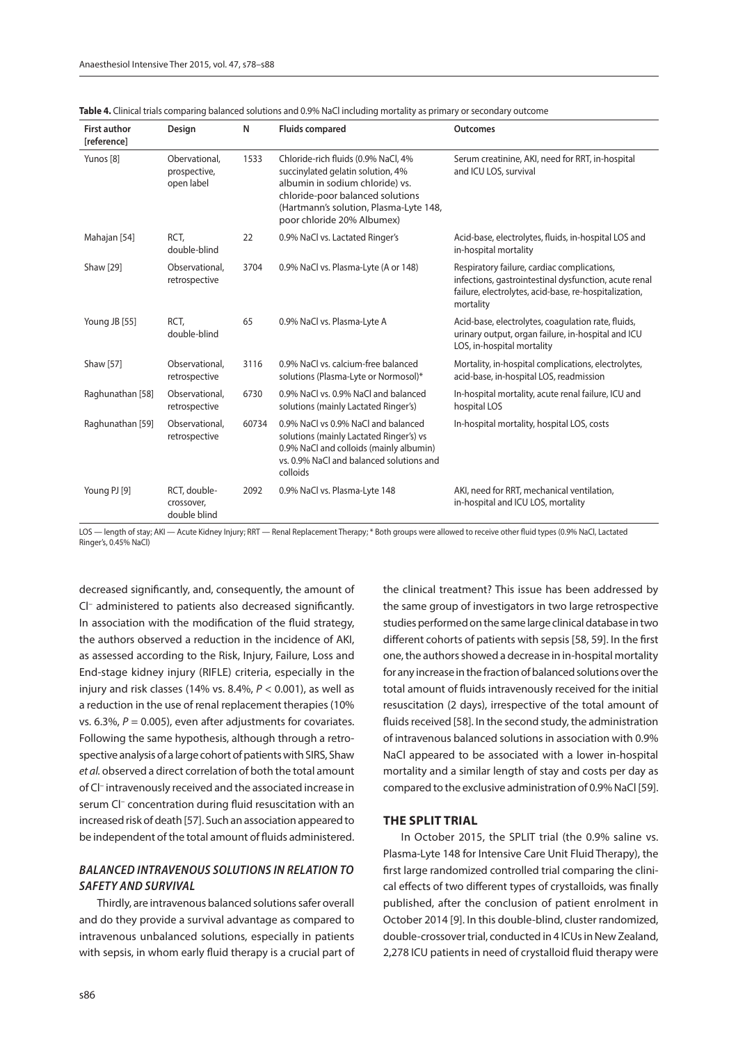| <b>First author</b><br><b>[reference]</b> | Design                                      | N     | <b>Fluids compared</b>                                                                                                                                                                                                  | <b>Outcomes</b>                                                                                                                                                            |
|-------------------------------------------|---------------------------------------------|-------|-------------------------------------------------------------------------------------------------------------------------------------------------------------------------------------------------------------------------|----------------------------------------------------------------------------------------------------------------------------------------------------------------------------|
| Yunos [8]                                 | Obervational,<br>prospective,<br>open label | 1533  | Chloride-rich fluids (0.9% NaCl, 4%<br>succinylated gelatin solution, 4%<br>albumin in sodium chloride) vs.<br>chloride-poor balanced solutions<br>(Hartmann's solution, Plasma-Lyte 148,<br>poor chloride 20% Albumex) | Serum creatinine, AKI, need for RRT, in-hospital<br>and ICU LOS, survival                                                                                                  |
| Mahajan [54]                              | RCT,<br>double-blind                        | 22    | 0.9% NaCl vs. Lactated Ringer's                                                                                                                                                                                         | Acid-base, electrolytes, fluids, in-hospital LOS and<br>in-hospital mortality                                                                                              |
| Shaw [29]                                 | Observational,<br>retrospective             | 3704  | 0.9% NaCl vs. Plasma-Lyte (A or 148)                                                                                                                                                                                    | Respiratory failure, cardiac complications,<br>infections, gastrointestinal dysfunction, acute renal<br>failure, electrolytes, acid-base, re-hospitalization,<br>mortality |
| Young JB [55]                             | RCT.<br>double-blind                        | 65    | 0.9% NaCl vs. Plasma-Lyte A                                                                                                                                                                                             | Acid-base, electrolytes, coagulation rate, fluids,<br>urinary output, organ failure, in-hospital and ICU<br>LOS, in-hospital mortality                                     |
| Shaw [57]                                 | Observational,<br>retrospective             | 3116  | 0.9% NaCl vs. calcium-free balanced<br>solutions (Plasma-Lyte or Normosol)*                                                                                                                                             | Mortality, in-hospital complications, electrolytes,<br>acid-base, in-hospital LOS, readmission                                                                             |
| Raghunathan [58]                          | Observational,<br>retrospective             | 6730  | 0.9% NaCl vs. 0.9% NaCl and balanced<br>solutions (mainly Lactated Ringer's)                                                                                                                                            | In-hospital mortality, acute renal failure, ICU and<br>hospital LOS                                                                                                        |
| Raghunathan [59]                          | Observational,<br>retrospective             | 60734 | 0.9% NaCl vs 0.9% NaCl and balanced<br>solutions (mainly Lactated Ringer's) vs<br>0.9% NaCl and colloids (mainly albumin)<br>vs. 0.9% NaCl and balanced solutions and<br>colloids                                       | In-hospital mortality, hospital LOS, costs                                                                                                                                 |
| Young PJ [9]                              | RCT, double-<br>crossover,<br>double blind  | 2092  | 0.9% NaCl vs. Plasma-Lyte 148                                                                                                                                                                                           | AKI, need for RRT, mechanical ventilation,<br>in-hospital and ICU LOS, mortality                                                                                           |

| Table 4. Clinical trials comparing balanced solutions and 0.9% NaCl including mortality as primary or secondary outcome |  |  |  |
|-------------------------------------------------------------------------------------------------------------------------|--|--|--|
|-------------------------------------------------------------------------------------------------------------------------|--|--|--|

LOS — length of stay; AKI — Acute Kidney Injury; RRT — Renal Replacement Therapy; \* Both groups were allowed to receive other fluid types (0.9% NaCl, Lactated Ringer's, 0.45% NaCl)

decreased significantly, and, consequently, the amount of Cl– administered to patients also decreased significantly. In association with the modification of the fluid strategy, the authors observed a reduction in the incidence of AKI, as assessed according to the Risk, Injury, Failure, Loss and End-stage kidney injury (RIFLE) criteria, especially in the injury and risk classes (14% vs. 8.4%, *P* < 0.001), as well as a reduction in the use of renal replacement therapies (10% vs.  $6.3\%$ ,  $P = 0.005$ ), even after adjustments for covariates. Following the same hypothesis, although through a retrospective analysis of a large cohort of patients with SIRS, Shaw *et al.* observed a direct correlation of both the total amount of Cl– intravenously received and the associated increase in serum Cl<sup>-</sup> concentration during fluid resuscitation with an increased risk of death [57]. Such an association appeared to be independent of the total amount of fluids administered.

## *BALANCED INTRAVENOUS SOLUTIONS IN RELATION TO SAFETY AND SURVIVAL*

Thirdly, are intravenous balanced solutions safer overall and do they provide a survival advantage as compared to intravenous unbalanced solutions, especially in patients with sepsis, in whom early fluid therapy is a crucial part of the clinical treatment? This issue has been addressed by the same group of investigators in two large retrospective studies performed on the same large clinical database in two different cohorts of patients with sepsis [58, 59]. In the first one, the authors showed a decrease in in-hospital mortality for any increase in the fraction of balanced solutions over the total amount of fluids intravenously received for the initial resuscitation (2 days), irrespective of the total amount of fluids received [58]. In the second study, the administration of intravenous balanced solutions in association with 0.9% NaCl appeared to be associated with a lower in-hospital mortality and a similar length of stay and costs per day as compared to the exclusive administration of 0.9% NaCl [59].

#### **THE SPLIT TRIAL**

In October 2015, the SPLIT trial (the 0.9% saline vs. Plasma-Lyte 148 for Intensive Care Unit Fluid Therapy), the first large randomized controlled trial comparing the clinical effects of two different types of crystalloids, was finally published, after the conclusion of patient enrolment in October 2014 [9]. In this double-blind, cluster randomized, double-crossover trial, conducted in 4 ICUs in New Zealand, 2,278 ICU patients in need of crystalloid fluid therapy were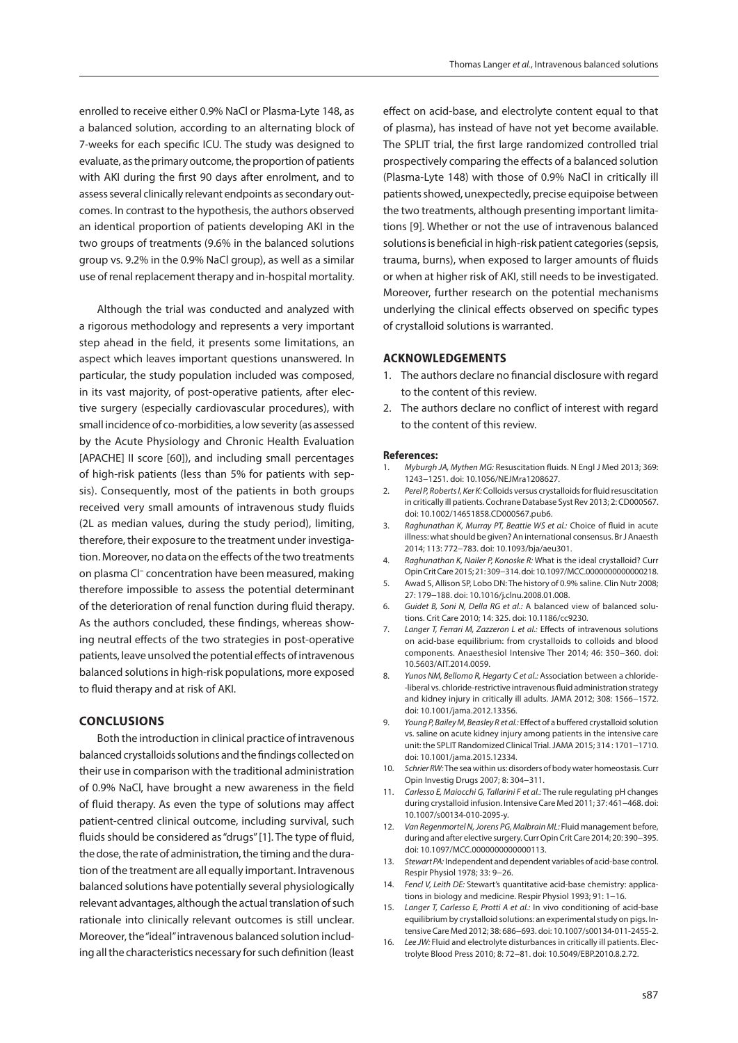enrolled to receive either 0.9% NaCl or Plasma-Lyte 148, as a balanced solution, according to an alternating block of 7-weeks for each specific ICU. The study was designed to evaluate, as the primary outcome, the proportion of patients with AKI during the first 90 days after enrolment, and to assess several clinically relevant endpoints as secondary outcomes. In contrast to the hypothesis, the authors observed an identical proportion of patients developing AKI in the two groups of treatments (9.6% in the balanced solutions group vs. 9.2% in the 0.9% NaCl group), as well as a similar use of renal replacement therapy and in-hospital mortality.

Although the trial was conducted and analyzed with a rigorous methodology and represents a very important step ahead in the field, it presents some limitations, an aspect which leaves important questions unanswered. In particular, the study population included was composed, in its vast majority, of post-operative patients, after elective surgery (especially cardiovascular procedures), with small incidence of co-morbidities, a low severity (as assessed by the Acute Physiology and Chronic Health Evaluation [APACHE] II score [60]), and including small percentages of high-risk patients (less than 5% for patients with sepsis). Consequently, most of the patients in both groups received very small amounts of intravenous study fluids (2L as median values, during the study period), limiting, therefore, their exposure to the treatment under investigation. Moreover, no data on the effects of the two treatments on plasma Cl– concentration have been measured, making therefore impossible to assess the potential determinant of the deterioration of renal function during fluid therapy. As the authors concluded, these findings, whereas showing neutral effects of the two strategies in post-operative patients, leave unsolved the potential effects of intravenous balanced solutions in high-risk populations, more exposed to fluid therapy and at risk of AKI.

### **CONCLUSIONS**

Both the introduction in clinical practice of intravenous balanced crystalloids solutions and the findings collected on their use in comparison with the traditional administration of 0.9% NaCl, have brought a new awareness in the field of fluid therapy. As even the type of solutions may affect patient-centred clinical outcome, including survival, such fluids should be considered as "drugs" [1]. The type of fluid, the dose, the rate of administration, the timing and the duration of the treatment are all equally important. Intravenous balanced solutions have potentially several physiologically relevant advantages, although the actual translation of such rationale into clinically relevant outcomes is still unclear. Moreover, the "ideal" intravenous balanced solution including all the characteristics necessary for such definition (least effect on acid-base, and electrolyte content equal to that of plasma), has instead of have not yet become available. The SPLIT trial, the first large randomized controlled trial prospectively comparing the effects of a balanced solution (Plasma-Lyte 148) with those of 0.9% NaCl in critically ill patients showed, unexpectedly, precise equipoise between the two treatments, although presenting important limitations [9]. Whether or not the use of intravenous balanced solutions is beneficial in high-risk patient categories (sepsis, trauma, burns), when exposed to larger amounts of fluids or when at higher risk of AKI, still needs to be investigated. Moreover, further research on the potential mechanisms underlying the clinical effects observed on specific types of crystalloid solutions is warranted.

#### **ACKNOWLEDGEMENTS**

- 1. The authors declare no financial disclosure with regard to the content of this review.
- 2. The authors declare no conflict of interest with regard to the content of this review.

#### **References:**

- 1. *Myburgh JA, Mythen MG:* Resuscitation fluids. N Engl J Med 2013; 369: 1243−1251. doi: 10.1056/NEJMra1208627.
- 2. *Perel P, Roberts I, Ker K:* Colloids versus crystalloids for fluid resuscitation in critically ill patients. Cochrane Database Syst Rev 2013; 2: CD000567. doi: 10.1002/14651858.CD000567.pub6.
- 3. *Raghunathan K, Murray PT, Beattie WS et al.:* Choice of fluid in acute illness: what should be given? An international consensus. Br J Anaesth 2014; 113: 772−783. doi: 10.1093/bja/aeu301.
- 4. *Raghunathan K, Nailer P, Konoske R:* What is the ideal crystalloid? Curr Opin Crit Care 2015; 21: 309−314. doi: 10.1097/MCC.0000000000000218.
- 5. Awad S, Allison SP, Lobo DN: The history of 0.9% saline. Clin Nutr 2008; 27: 179−188. doi: 10.1016/j.clnu.2008.01.008.
- 6. *Guidet B, Soni N, Della RG et al.:* A balanced view of balanced solutions. Crit Care 2010; 14: 325. doi: 10.1186/cc9230.
- 7. *Langer T, Ferrari M, Zazzeron L et al.:* Effects of intravenous solutions on acid-base equilibrium: from crystalloids to colloids and blood components. Anaesthesiol Intensive Ther 2014; 46: 350−360. doi: 10.5603/AIT.2014.0059.
- 8. *Yunos NM, Bellomo R, Hegarty C et al.:* Association between a chloride- -liberal vs. chloride-restrictive intravenous fluid administration strategy and kidney injury in critically ill adults. JAMA 2012; 308: 1566−1572. doi: 10.1001/jama.2012.13356.
- 9. *Young P, Bailey M, Beasley R et al.:* Effect of a buffered crystalloid solution vs. saline on acute kidney injury among patients in the intensive care unit: the SPLIT Randomized Clinical Trial. JAMA 2015; 314 : 1701−1710. doi: 10.1001/jama.2015.12334.
- 10. *Schrier RW:* The sea within us: disorders of body water homeostasis. Curr Opin Investig Drugs 2007; 8: 304−311.
- 11. *Carlesso E, Maiocchi G, Tallarini F et al.:* The rule regulating pH changes during crystalloid infusion. Intensive Care Med 2011; 37: 461−468. doi: 10.1007/s00134-010-2095-y.
- 12. *Van Regenmortel N, Jorens PG, Malbrain ML:* Fluid management before, during and after elective surgery. Curr Opin Crit Care 2014; 20: 390−395. doi: 10.1097/MCC.0000000000000113.
- 13. *Stewart PA:* Independent and dependent variables of acid-base control. Respir Physiol 1978; 33: 9−26.
- 14. *Fencl V, Leith DE:* Stewart's quantitative acid-base chemistry: applications in biology and medicine. Respir Physiol 1993; 91: 1−16.
- 15. *Langer T, Carlesso E, Protti A et al.:* In vivo conditioning of acid-base equilibrium by crystalloid solutions: an experimental study on pigs. Intensive Care Med 2012; 38: 686−693. doi: 10.1007/s00134-011-2455-2.
- 16. *Lee JW:* Fluid and electrolyte disturbances in critically ill patients. Electrolyte Blood Press 2010; 8: 72−81. doi: 10.5049/EBP.2010.8.2.72.